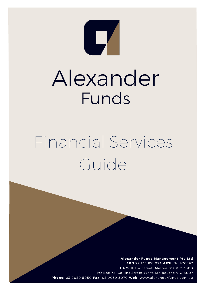

# Alexander Funds

## Financial Services Guide

**Alexander Funds Management Pty Ltd ABN** 77 136 871 924 **AF SL** No 476697 114 William Street, Melbourne VIC 3000 PO Box 72, Collins Street West, Melbourne VIC 8007 **Phon e :** 03 9039 5050 **F ax:** 03 9039 5070 **W e b:** www.alexanderfunds.com.au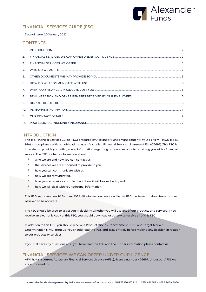

## FINANCIAL SERVICES GUIDE (FSG)

#### Date of Issue: 20 January 2022

#### **CONTENTS**

| 2.  |  |
|-----|--|
| 3.  |  |
| 4.  |  |
| 5.  |  |
| 6.  |  |
| 7.  |  |
| 8.  |  |
| 9.  |  |
| 10. |  |
| 11. |  |
| 12. |  |

#### <span id="page-1-0"></span>INTRODUCTION

This is a Financial Services Guide (FSG) prepared by Alexander Funds Management Pty Ltd ("AFM") (ACN 136 871 924) in compliance with our obligations as an Australian Financial Services Licensee (AFSL 476697). This FSG is intended to provide you with general information regarding our services prior to providing you with a financial service. The FSG contains information about:

- who we are and how you can contact us;
- **the services we are authorised to provide to you;**
- **how you can communicate with us;**
- how we are remunerated;
- how you can make a complaint and how it will be dealt with; and
- **how we will deal with your personal information.**

This FSG was issued on 20 January 2022. All information contained in the FSG has been obtained from sources believed to be accurate.

The FSG should be used to assist you in deciding whether you will use any of our products and services. If you receive an electronic copy of this FSG, you should download or otherwise receive all of this FSG.

In addition to this FSG, you should receive a Product Disclosure Statement (PDS) and Target Market Determination (TMD) from us. You should read the PDS and TMD entirely before making any decision in relation to our products or services.

If you still have any questions after you have read the FSG and the further information please contact us.

### <span id="page-1-1"></span>FINANCIAL SERVICES WE CAN OFFER UNDER OUR LICENCE

AFM holds a current Australian Financial Services Licence (AFSL), licence number 476697. Under our AFSL we are authorised to: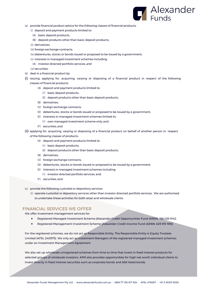

- (a) provide financial product advice for the following classes of financial products:
	- (i) deposit and payment products limited to:
	- (A) basic deposit products;
	- (B) deposit products other than basic deposit products;
	- (ii) derivatives;
	- (iii) foreign exchange contracts;
	- (iv) debentures, stocks or bonds issued or proposed to be issued by a government;
	- (v) interests in managed investment schemes including:
	- (A) investor directed portfolio services; and

(vi) securities;

- (b) deal in a financial product by:
- (i) issuing, applying for, acquiring, varying or disposing of a financial product in respect of the following classes of financial products:
	- (A) deposit and payment products limited to:
		- (1) basic deposit products;
		- (2) deposit products other than basic deposit products;
	- (B) derivatives;
	- (C) foreign exchange contracts;
	- (D) debentures, stocks or bonds issued or proposed to be issued by a government;
	- (E) interests in managed investment schemes limited to:
		- (1) own managed investment scheme only; and
	- (F) securities; and
- (ii) applying for, acquiring, varying or disposing of a financial product on behalf of another person in respect of the following classes of products:
	- (A) deposit and payment products limited to:
		- (1) basic deposit products;
		- (2) deposit products other than basic deposit products;
	- (B) derivatives;
	- (C) foreign exchange contracts;
	- (D) debentures, stocks or bonds issued or proposed to be issued by a government;
	- (E) interests in managed investment schemes including:
		- (1) investor directed portfolio services; and
	- (F) securities; and
- (c) provide the following custodial or depository services:
	- (i) operate custodial or depository services other than investor directed portfolio services; We are authorised to undertake these activities for both retail and wholesale clients.

#### <span id="page-2-0"></span>FINANCIAL SERVICES WE OFFER

We offer investment management services for:

- Registered Managed Investment Scheme [Alexander Credit Opportunities Fund (ARSN: 156 026 514)].
- Registered Management Investment Scheme [Alexander Credit Income Fund (ARSN: 629 915 199)]

For the registered schemes, we do not act as Responsible Entity. The Responsible Entity is Equity Trustees Limited (AFSL 240975). We only act as Investment Managers of the registered managed investment schemes under an Investment Management Agreement.

We also set up wholesale unregistered schemes from time to time that invest in fixed interest products for selected groups of wholesale investors. AFM also provides opportunities for high net worth individual clients to invest directly in fixed interest securities such as corporate bonds and ASX listed bonds.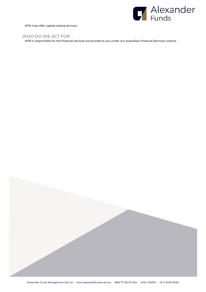

AFM may offer capital raising services.

## <span id="page-3-0"></span>WHO DO WE ACT FOR

AFM is responsible for the financial services we provide to you under our Australian Financial Services Licence.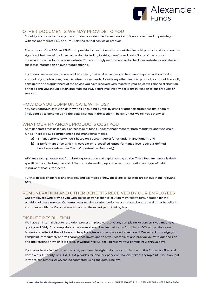

#### <span id="page-4-0"></span>OTHER DOCUMENTS WE MAY PROVIDE TO YOU

Should you choose to use any of our products as identified in section 2 and 3, we are required to provide you with the appropriate PDS and TMD relating to that service or product.

The purpose of the PDS and TMD is to provide further information about the financial product and to set out the significant features of the financial product including its risks, benefits and costs. Some of the product information can be found on our website. You are strongly recommended to check our website for updates and the latest information on our product offering.

In circumstances where general advice is given, that advice we give you has been prepared without taking account of your objectives, financial situations or needs. As with any other financial product, you should carefully consider the appropriateness of the advice you have received with regard to your objectives, financial situation, or needs and you should obtain and read our PDS before making any decisions in relation to our products or services.

#### <span id="page-4-1"></span>HOW DO YOU COMMUNICATE WITH US?

You may communicate with us in writing (including by fax), by email or other electronic means, or orally (including by telephone) using the details set out in the section 11 below, unless we tell you otherwise.

## <span id="page-4-2"></span>WHAT OUR FINANCIAL PRODUCTS COST YOU

AFM generates fees based on a percentage of funds under management for both mandates and wholesale funds. There are two components to the management fees:

- a) a management fee which is based on a percentage of funds under management; and
- b) a performance fee which is payable on a specified outperformance level above a defined benchmark (Alexander Credit Opportunities Fund only)

AFM may also generate fees from broking, execution and capital raising advice. These fees are generally dealspecific and can be irregular and differ in size depending upon the volume, duration and type of debt instrument that is transacted.

Further details of our fees and charges, and examples of how these are calculated, are set out in the relevant PDS.

### <span id="page-4-3"></span>REMUNERATION AND OTHER BENEFITS RECEIVED BY OUR EMPLOYEES

Our employees who provide you with advice or transaction execution may receive remuneration for the provision of these services. Our employees receive salaries, performance-related bonuses and other benefits in accordance with the Corporations Act and to the extent permitted by law.

## <span id="page-4-4"></span>DISPUTE RESOLUTION

We have an internal dispute resolution process in place to resolve any complaints or concerns you may have, quickly and fairly. Any complaints or concerns should be directed to the Complaints Officer (by telephone, facsimile or letter) at the address and telephone/fax numbers provided in section 11. We will acknowledge your complaint immediately and will commence investigation of your complaint and provide you with our decision and the reasons on which it is based, in writing. We will seek to resolve your complaint within 30 days.

If you are dissatisfied with the outcome, you have the right to lodge a complaint with the Australian Financial Complaints Authority, or AFCA. AFCA provides fair and independent financial services complaint resolution that is free to consumers. AFCA can be contacted using the details below.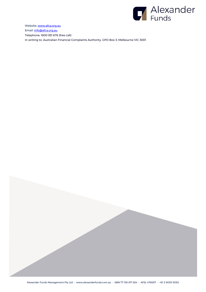

Website: [www.afca.org.au](http://www.afca.org.au/) Email[: info@afca.org.au](mailto:info@afca.org.au) Telephone: 1800 931 678 (free call) In writing to: Australian Financial Complaints Authority, GPO Box 3, Melbourne VIC 3001